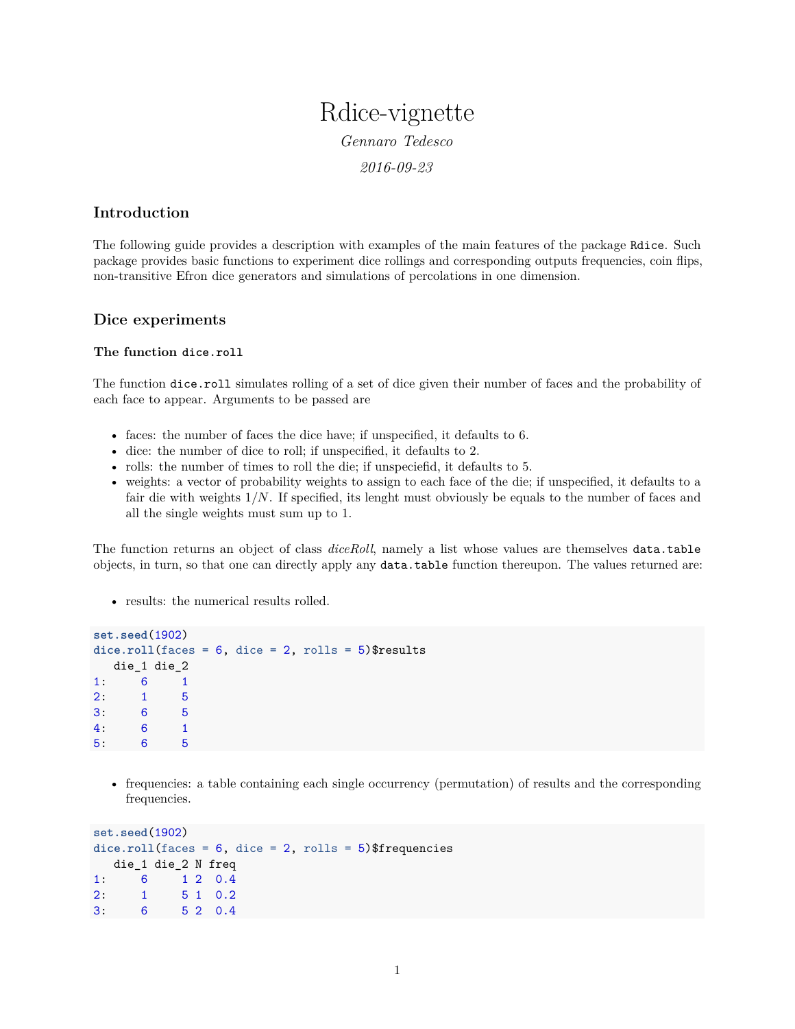# Rdice-vignette *Gennaro Tedesco*

*2016-09-23*

# **Introduction**

The following guide provides a description with examples of the main features of the package Rdice. Such package provides basic functions to experiment dice rollings and corresponding outputs frequencies, coin flips, non-transitive Efron dice generators and simulations of percolations in one dimension.

# **Dice experiments**

## **The function dice.roll**

The function dice.roll simulates rolling of a set of dice given their number of faces and the probability of each face to appear. Arguments to be passed are

- faces: the number of faces the dice have; if unspecified, it defaults to 6.
- dice: the number of dice to roll; if unspecified, it defaults to 2.
- rolls: the number of times to roll the die; if unspeciefid, it defaults to 5.
- weights: a vector of probability weights to assign to each face of the die; if unspecified, it defaults to a fair die with weights 1*/N*. If specified, its lenght must obviously be equals to the number of faces and all the single weights must sum up to 1.

The function returns an object of class *diceRoll*, namely a list whose values are themselves data.table objects, in turn, so that one can directly apply any data.table function thereupon. The values returned are:

• results: the numerical results rolled.

```
set.seed(1902)
dice.roll(faces = 6, dice = 2, rolls = 5)$results
  die_1 die_2
1: 6 1
2: 1 5
3: 6 5
4: 6 1
5: 6 5
```
• frequencies: a table containing each single occurrency (permutation) of results and the corresponding frequencies.

```
set.seed(1902)
dice.roll(faces = 6, dice = 2, rolls = 5)$frequencies
  die_1 die_2 N freq
1: 6 1 2 0.4
2: 1 5 1 0.2
3: 6 5 2 0.4
```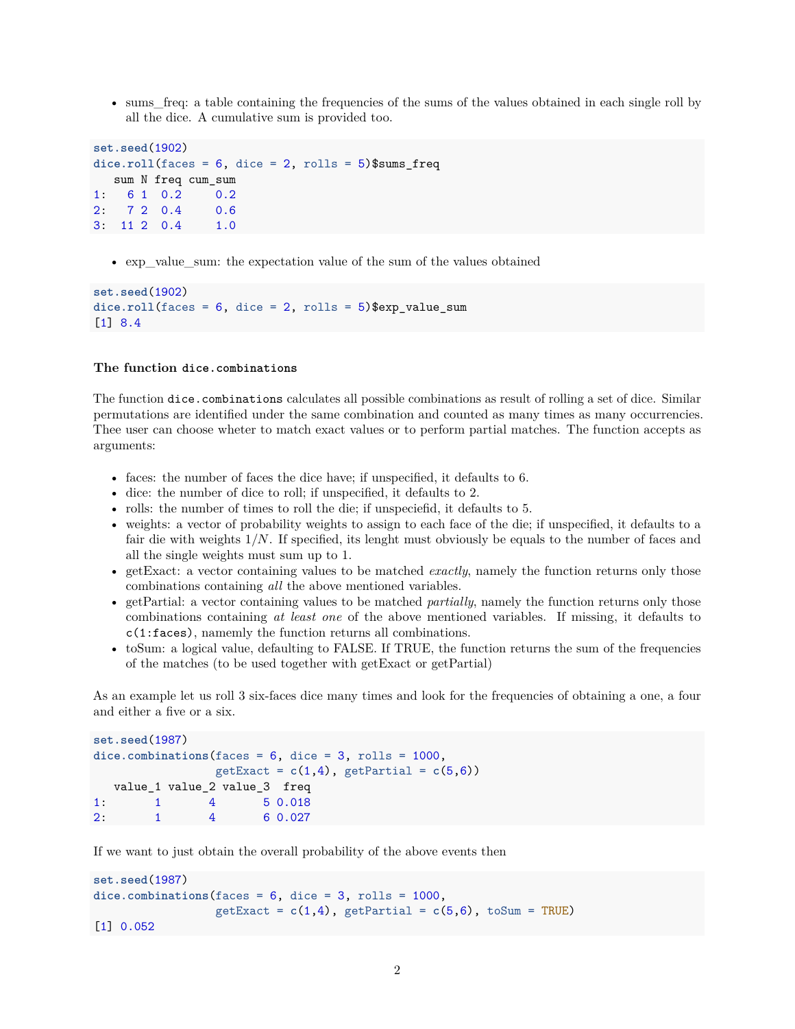• sums freq: a table containing the frequencies of the sums of the values obtained in each single roll by all the dice. A cumulative sum is provided too.

```
set.seed(1902)
\text{dice}.\text{roll}(\text{faces} = 6, \text{ dice} = 2, \text{ rolls} = 5)\text{}}\text{sum}sum N freq cum_sum
1: 6 1 0.2 0.2
2: 7 2 0.4 0.6
3: 11 2 0.4 1.0
```
• exp\_value\_sum: the expectation value of the sum of the values obtained

```
set.seed(1902)
dice.roll(faces = 6, dice = 2, rolls = 5)$exp_value_sum
[1] 8.4
```
#### **The function dice.combinations**

The function dice.combinations calculates all possible combinations as result of rolling a set of dice. Similar permutations are identified under the same combination and counted as many times as many occurrencies. Thee user can choose wheter to match exact values or to perform partial matches. The function accepts as arguments:

- faces: the number of faces the dice have; if unspecified, it defaults to 6.
- dice: the number of dice to roll; if unspecified, it defaults to 2.
- rolls: the number of times to roll the die; if unspeciefid, it defaults to 5.
- weights: a vector of probability weights to assign to each face of the die; if unspecified, it defaults to a fair die with weights 1*/N*. If specified, its lenght must obviously be equals to the number of faces and all the single weights must sum up to 1.
- getExact: a vector containing values to be matched *exactly*, namely the function returns only those combinations containing *all* the above mentioned variables.
- getPartial: a vector containing values to be matched *partially*, namely the function returns only those combinations containing *at least one* of the above mentioned variables. If missing, it defaults to c(1:faces), namemly the function returns all combinations.
- toSum: a logical value, defaulting to FALSE. If TRUE, the function returns the sum of the frequencies of the matches (to be used together with getExact or getPartial)

As an example let us roll 3 six-faces dice many times and look for the frequencies of obtaining a one, a four and either a five or a six.

```
set.seed(1987)
dice.combinations(faces = 6, dice = 3, rolls = 1000,
              getExact = c(1,4), getPartial = c(5,6)value_1 value_2 value_3 freq
1: 1 4 5 0.018
2: 1 4 6 0.027
```
If we want to just obtain the overall probability of the above events then

```
set.seed(1987)
dice.combinations(faces = 6, dice = 3, rolls = 1000,
                  getExact = c(1,4), getPartial = c(5,6), toSum = TRUE)
[1] 0.052
```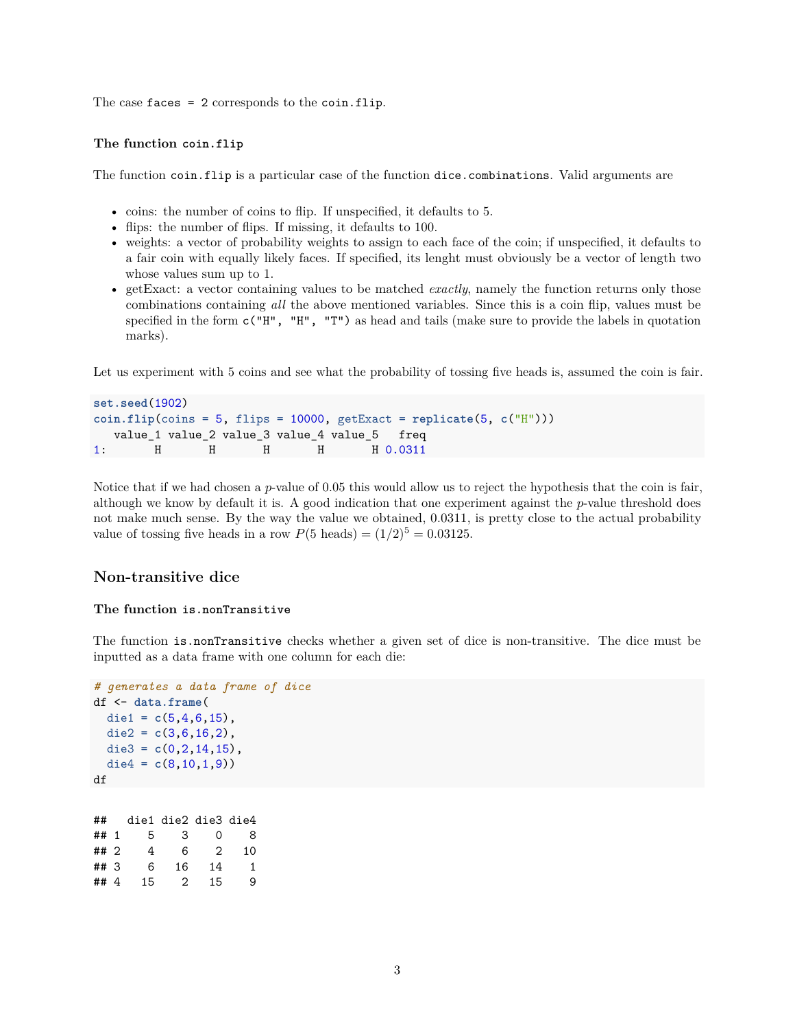The case faces  $= 2$  corresponds to the coin. flip.

## **The function coin.flip**

The function coin.flip is a particular case of the function dice.combinations. Valid arguments are

- coins: the number of coins to flip. If unspecified, it defaults to 5.
- flips: the number of flips. If missing, it defaults to 100.
- weights: a vector of probability weights to assign to each face of the coin; if unspecified, it defaults to a fair coin with equally likely faces. If specified, its lenght must obviously be a vector of length two whose values sum up to 1.
- getExact: a vector containing values to be matched *exactly*, namely the function returns only those combinations containing *all* the above mentioned variables. Since this is a coin flip, values must be specified in the form c("H", "H", "T") as head and tails (make sure to provide the labels in quotation marks).

Let us experiment with 5 coins and see what the probability of tossing five heads is, assumed the coin is fair.

```
set.seed(1902)
coin.flip(coins = 5, flips = 10000, getExact = replicate(5, c("H")))
  value_1 value_2 value_3 value_4 value_5 freq
1: H H H H H 0.0311
```
Notice that if we had chosen a *p*-value of 0*.*05 this would allow us to reject the hypothesis that the coin is fair, although we know by default it is. A good indication that one experiment against the *p*-value threshold does not make much sense. By the way the value we obtained, 0*.*0311, is pretty close to the actual probability value of tossing five heads in a row  $P(5 \text{ heads}) = (1/2)^5 = 0.03125$ .

## **Non-transitive dice**

#### **The function is.nonTransitive**

The function is.nonTransitive checks whether a given set of dice is non-transitive. The dice must be inputted as a data frame with one column for each die:

```
# generates a data frame of dice
df <- data.frame(
 die1 = c(5, 4, 6, 15),
 die2 = c(3,6,16,2),
 die3 = c(0,2,14,15),
 die4 = c(8,10,1,9))
df
## die1 die2 die3 die4
## 1 5 3 0 8
## 2 4 6 2 10
```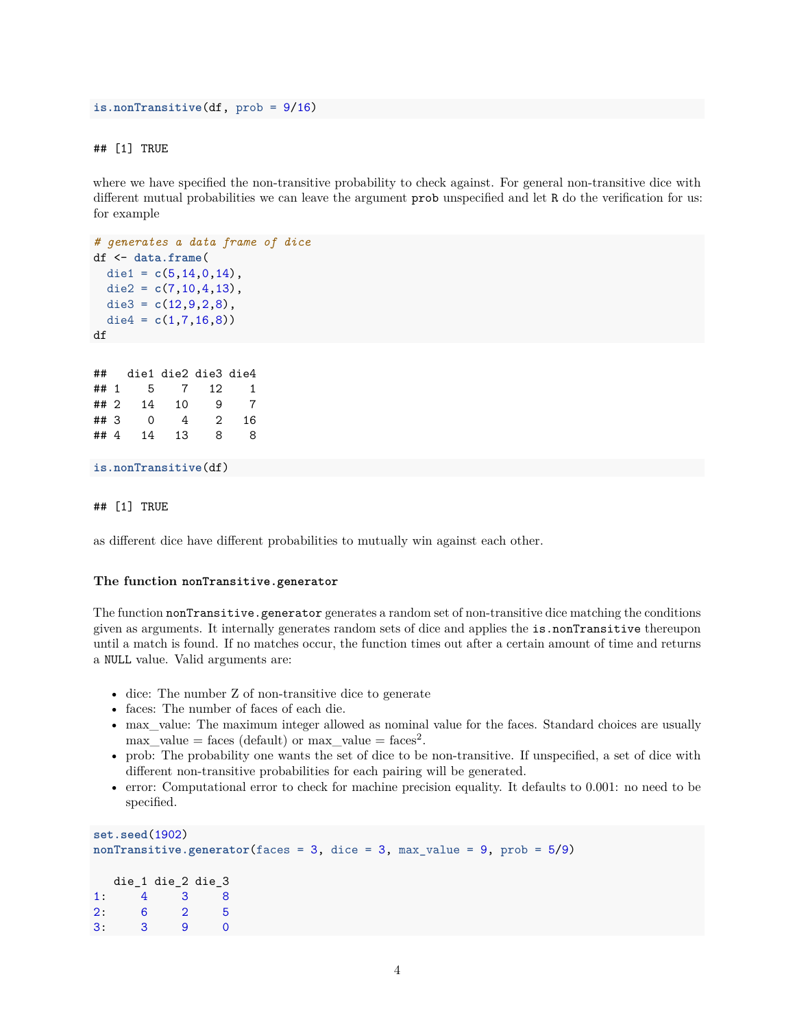```
is.nonTransitive(df, prob = 9/16)
```
## ## [1] TRUE

where we have specified the non-transitive probability to check against. For general non-transitive dice with different mutual probabilities we can leave the argument prob unspecified and let R do the verification for us: for example

```
# generates a data frame of dice
df <- data.frame(
  die1 = c(5, 14, 0, 14),
  die2 = c(7,10,4,13),
 die3 = c(12,9,2,8),
  die4 = c(1,7,16,8)df
```

```
## die1 die2 die3 die4
## 1 5 7 12 1
## 2 14 10 9 7
## 3 0 4 2 16
## 4 14 13 8 8
```

```
is.nonTransitive(df)
```
#### ## [1] TRUE

as different dice have different probabilities to mutually win against each other.

#### **The function nonTransitive.generator**

The function nonTransitive.generator generates a random set of non-transitive dice matching the conditions given as arguments. It internally generates random sets of dice and applies the is.nonTransitive thereupon until a match is found. If no matches occur, the function times out after a certain amount of time and returns a NULL value. Valid arguments are:

- dice: The number Z of non-transitive dice to generate
- faces: The number of faces of each die.
- max\_value: The maximum integer allowed as nominal value for the faces. Standard choices are usually  $max\_value = faces (default) \text{ or } max\_value = faces^2.$
- prob: The probability one wants the set of dice to be non-transitive. If unspecified, a set of dice with different non-transitive probabilities for each pairing will be generated.
- error: Computational error to check for machine precision equality. It defaults to 0.001: no need to be specified.

```
set.seed(1902)
nonTransitive.generator(faces = 3, dice = 3, max_value = 9, prob = 5/9)
  die_1 die_2 die_3
1: 4 3 8
2: 6 2 5
3: 3 9 0
```